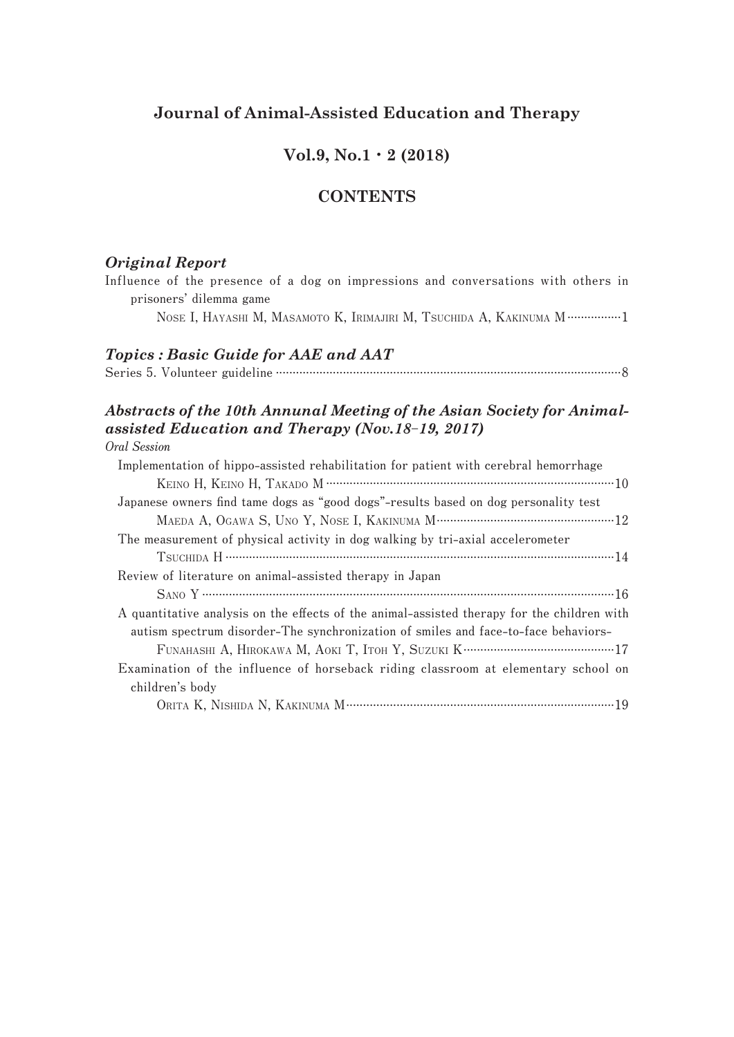## **Journal of Animal-Assisted Education and Therapy**

## **Vol.9, No.1**・**2 (2018)**

## **CONTENTS**

### *Original Report*

**Influence of the presence of a dog on impressions and conversations with others in prisoners' dilemma game**

 **NOSE I, HAYASHI M, MASAMOTO K, IRIMAJIRI M, TSUCHIDA A, KAKINUMA M................1**

### *Topics : Basic Guide for AAE and AAT*

**Series 5. Volunteer guideline .......................................................................................................8**

# *Abstracts of the 10th Annunal Meeting of the Asian Society for Animalassisted Education and Therapy (Nov.18*‒*19, 2017)*

#### **Oral Session**